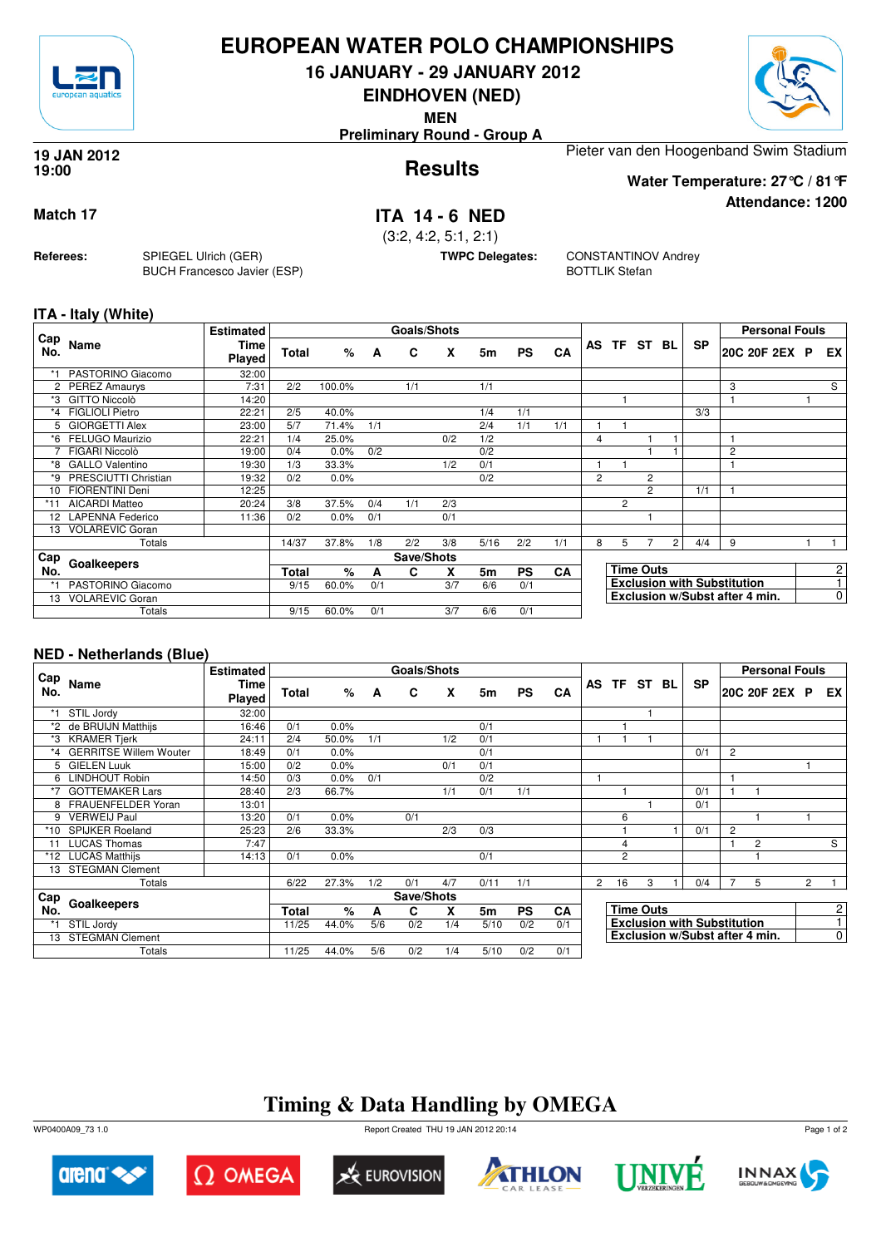

## **EUROPEAN WATER POLO CHAMPIONSHIPS**

**16 JANUARY - 29 JANUARY 2012**

**EINDHOVEN (NED)**

**MEN**

**Preliminary Round - Group A**



**Attendance: 1200**

#### **Results 19 JAN 2012 19:00**

Pieter van den Hoogenband Swim Stadium

**Water Temperature: 27°C / 81°F**

**Match 17 ITA 14 - 6 NED**

(3:2, 4:2, 5:1, 2:1)

**TWPC Delegates:** CONSTANTINOV Andrey BOTTLIK Stefan

### **ITA - Italy (White)**

**Referees:** SPIEGEL Ulrich (GER)

BUCH Francesco Javier (ESP)

|            |                         | <b>Estimated</b> |              |         |            | <b>Goals/Shots</b> |     |      |           |     |                |                                    |                |                |           | <b>Personal Fouls</b>          |                |
|------------|-------------------------|------------------|--------------|---------|------------|--------------------|-----|------|-----------|-----|----------------|------------------------------------|----------------|----------------|-----------|--------------------------------|----------------|
| Cap<br>No. | Name                    | Time<br>Played   | <b>Total</b> | %       | A          | C                  | X   | 5m   | <b>PS</b> | CA  |                |                                    | AS TF ST BL    |                | <b>SP</b> | 20C 20F 2EX P                  | EX             |
|            | PASTORINO Giacomo       | 32:00            |              |         |            |                    |     |      |           |     |                |                                    |                |                |           |                                |                |
| 2          | <b>PEREZ Amaurys</b>    | 7:31             | 2/2          | 100.0%  |            | 1/1                |     | 1/1  |           |     |                |                                    |                |                |           | 3                              | S              |
| *3         | <b>GITTO Niccolò</b>    | 14:20            |              |         |            |                    |     |      |           |     |                |                                    |                |                |           |                                |                |
| *4         | <b>FIGLIOLI Pietro</b>  | 22:21            | 2/5          | 40.0%   |            |                    |     | 1/4  | 1/1       |     |                |                                    |                |                | 3/3       |                                |                |
| 5          | <b>GIORGETTI Alex</b>   | 23:00            | 5/7          | 71.4%   | 1/1        |                    |     | 2/4  | 1/1       | 1/1 |                |                                    |                |                |           |                                |                |
| *6         | FELUGO Maurizio         | 22:21            | 1/4          | 25.0%   |            |                    | 0/2 | 1/2  |           |     | 4              |                                    |                |                |           |                                |                |
|            | FIGARI Niccolò          | 19:00            | 0/4          | 0.0%    | 0/2        |                    |     | 0/2  |           |     |                |                                    |                |                |           | 2                              |                |
| *8         | <b>GALLO Valentino</b>  | 19:30            | 1/3          | 33.3%   |            |                    | 1/2 | 0/1  |           |     |                |                                    |                |                |           |                                |                |
| *9         | PRESCIUTTI Christian    | 19:32            | 0/2          | 0.0%    |            |                    |     | 0/2  |           |     | $\overline{2}$ |                                    | $\overline{2}$ |                |           |                                |                |
| 10         | <b>FIORENTINI Deni</b>  | 12:25            |              |         |            |                    |     |      |           |     |                |                                    | $\overline{2}$ |                | 1/1       |                                |                |
|            | <b>AICARDI Matteo</b>   | 20:24            | 3/8          | 37.5%   | 0/4        | 1/1                | 2/3 |      |           |     |                | $\overline{2}$                     |                |                |           |                                |                |
| 12         | <b>LAPENNA Federico</b> | 11:36            | 0/2          | $0.0\%$ | 0/1        |                    | 0/1 |      |           |     |                |                                    |                |                |           |                                |                |
| 13         | <b>VOLAREVIC Goran</b>  |                  |              |         |            |                    |     |      |           |     |                |                                    |                |                |           |                                |                |
|            | Totals                  |                  | 14/37        | 37.8%   | 1/8        | 2/2                | 3/8 | 5/16 | 2/2       | 1/1 | 8              | 5                                  |                | 2 <sub>1</sub> | 4/4       | 9                              |                |
| Cap        |                         |                  |              |         | Save/Shots |                    |     |      |           |     |                |                                    |                |                |           |                                |                |
| No.        | Goalkeepers             |                  | Total        | $\%$    | A          | C                  | X   | 5m   | <b>PS</b> | CA  |                | <b>Time Outs</b>                   |                |                |           |                                | $\overline{c}$ |
| *1         | PASTORINO Giacomo       |                  | 9/15         | 60.0%   | 0/1        |                    | 3/7 | 6/6  | 0/1       |     |                | <b>Exclusion with Substitution</b> |                |                |           |                                | $\overline{ }$ |
| 13         | <b>VOLAREVIC Goran</b>  |                  |              |         |            |                    |     |      |           |     |                |                                    |                |                |           | Exclusion w/Subst after 4 min. | $\mathbf 0$    |
|            | Totals                  |                  | 9/15         | 60.0%   | 0/1        |                    | 3/7 | 6/6  | 0/1       |     |                |                                    |                |                |           |                                |                |

### **NED - Netherlands (Blue)**

|            |                           | <b>Estimated</b>      |       |       |     | Goals/Shots |      |      |           |           |                                    |                  |             |  |           |                | <b>Personal Fouls</b>          |                |                |
|------------|---------------------------|-----------------------|-------|-------|-----|-------------|------|------|-----------|-----------|------------------------------------|------------------|-------------|--|-----------|----------------|--------------------------------|----------------|----------------|
| Cap<br>No. | Name                      | <b>Time</b><br>Played | Total | %     | A   | C           | X    | 5m   | <b>PS</b> | CA        |                                    |                  | AS TF ST BL |  | <b>SP</b> |                | 20C 20F 2EX P                  |                | EX I           |
|            | STIL Jordy                | 32:00                 |       |       |     |             |      |      |           |           |                                    |                  |             |  |           |                |                                |                |                |
| *2         | de BRUIJN Matthijs        | 16:46                 | 0/1   | 0.0%  |     |             |      | 0/1  |           |           |                                    |                  |             |  |           |                |                                |                |                |
| *3         | <b>KRAMER Tjerk</b>       | 24:11                 | 2/4   | 50.0% | 1/1 |             | 1/2  | 0/1  |           |           |                                    |                  |             |  |           |                |                                |                |                |
|            | *4 GERRITSE Willem Wouter | 18:49                 | 0/1   | 0.0%  |     |             |      | 0/1  |           |           |                                    |                  |             |  | 0/1       | 2              |                                |                |                |
| 5.         | <b>GIELEN Luuk</b>        | 15:00                 | 0/2   | 0.0%  |     |             | 0/1  | 0/1  |           |           |                                    |                  |             |  |           |                |                                |                |                |
| 6          | <b>LINDHOUT Robin</b>     | 14:50                 | 0/3   | 0.0%  | 0/1 |             |      | 0/2  |           |           |                                    |                  |             |  |           |                |                                |                |                |
|            | <b>GOTTEMAKER Lars</b>    | 28:40                 | 2/3   | 66.7% |     |             | 1/1  | 0/1  | 1/1       |           |                                    |                  |             |  | 0/1       | 1              |                                |                |                |
|            | FRAUENFELDER Yoran        | 13:01                 |       |       |     |             |      |      |           |           |                                    |                  |             |  | 0/1       |                |                                |                |                |
| 9          | <b>VERWEIJ Paul</b>       | 13:20                 | 0/1   | 0.0%  |     | 0/1         |      |      |           |           |                                    | 6                |             |  |           |                |                                |                |                |
| *10        | <b>SPIJKER Roeland</b>    | 25:23                 | 2/6   | 33.3% |     |             | 2/3  | 0/3  |           |           |                                    |                  |             |  | 0/1       | $\overline{2}$ |                                |                |                |
|            | <b>LUCAS Thomas</b>       | 7:47                  |       |       |     |             |      |      |           |           |                                    | $\overline{4}$   |             |  |           | 1              | 2                              |                | S              |
|            | *12 LUCAS Matthijs        | 14:13                 | 0/1   | 0.0%  |     |             |      | 0/1  |           |           |                                    | $\overline{2}$   |             |  |           |                |                                |                |                |
| 13         | <b>STEGMAN Clement</b>    |                       |       |       |     |             |      |      |           |           |                                    |                  |             |  |           |                |                                |                |                |
|            | Totals                    |                       | 6/22  | 27.3% | 1/2 | 0/1         | 4/7  | 0/11 | 1/1       |           | $\mathbf{2}^{\prime}$              | 16               | 3           |  | 0/4       | 7              | 5                              | $\overline{2}$ |                |
| ⊦ Cap      |                           |                       |       |       |     | Save/Shots  |      |      |           |           |                                    |                  |             |  |           |                |                                |                |                |
| No.        | Goalkeepers               |                       |       | %     | A   | C           | x    | 5m   | <b>PS</b> | <b>CA</b> |                                    | <b>Time Outs</b> |             |  |           |                |                                |                | 2              |
|            | STIL Jordy                | 11/25                 | 44.0% | 5/6   | 0/2 | 1/4         | 5/10 | 0/2  | 0/1       |           | <b>Exclusion with Substitution</b> |                  |             |  |           |                | $\mathbf{1}$                   |                |                |
| 13         | <b>STEGMAN Clement</b>    |                       |       |       |     |             |      |      |           |           |                                    |                  |             |  |           |                | Exclusion w/Subst after 4 min. |                | $\overline{0}$ |
|            | Totals                    |                       | 11/25 | 44.0% | 5/6 | 0/2         | 1/4  | 5/10 | 0/2       | 0/1       |                                    |                  |             |  |           |                |                                |                |                |

## **Timing & Data Handling by OMEGA**

WP0400A09\_73 1.0 Report Created THU 19 JAN 2012 20:14













Page 1 of 2